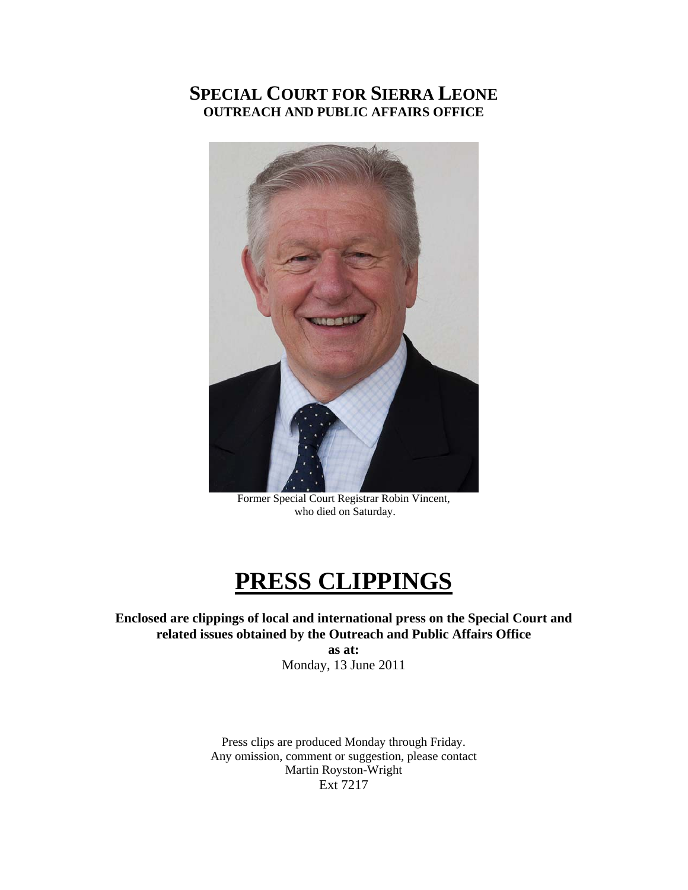### **SPECIAL COURT FOR SIERRA LEONE OUTREACH AND PUBLIC AFFAIRS OFFICE**



Former Special Court Registrar Robin Vincent, who died on Saturday.

### **PRESS CLIPPINGS**

**Enclosed are clippings of local and international press on the Special Court and related issues obtained by the Outreach and Public Affairs Office** 

**as at:**  Monday, 13 June 2011

Press clips are produced Monday through Friday. Any omission, comment or suggestion, please contact Martin Royston-Wright Ext 7217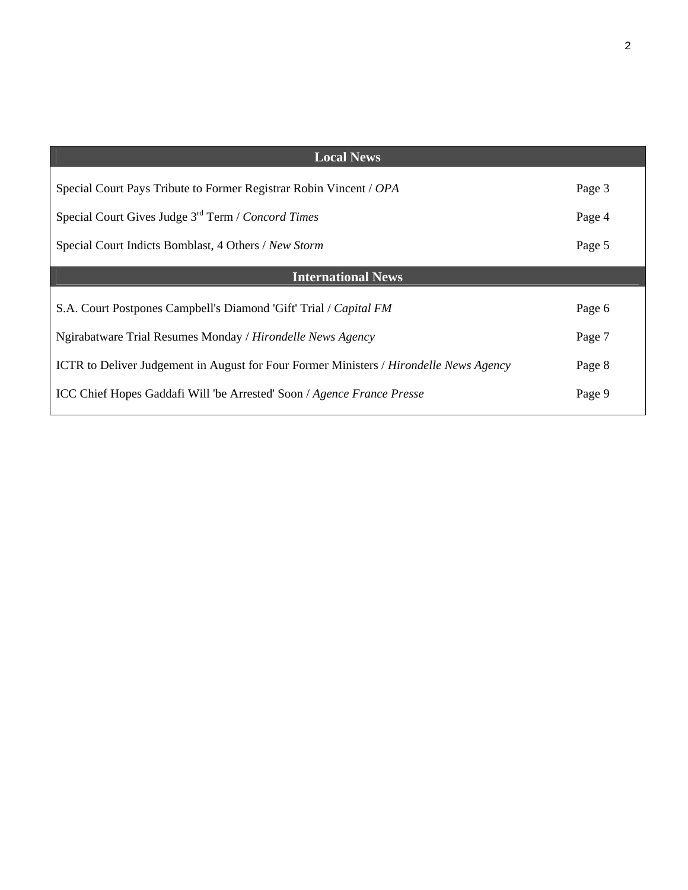| <b>Local News</b>                                                                                    |        |
|------------------------------------------------------------------------------------------------------|--------|
| Special Court Pays Tribute to Former Registrar Robin Vincent / OPA                                   | Page 3 |
| Special Court Gives Judge 3 <sup>rd</sup> Term / Concord Times                                       | Page 4 |
| Special Court Indicts Bomblast, 4 Others / New Storm                                                 | Page 5 |
| <b>International News</b>                                                                            |        |
| S.A. Court Postpones Campbell's Diamond 'Gift' Trial / Capital FM                                    | Page 6 |
| Ngirabatware Trial Resumes Monday / Hirondelle News Agency                                           | Page 7 |
| <b>ICTR</b> to Deliver Judgement in August for Four Former Ministers / <i>Hirondelle News Agency</i> | Page 8 |
| ICC Chief Hopes Gaddafi Will 'be Arrested' Soon / Agence France Presse                               | Page 9 |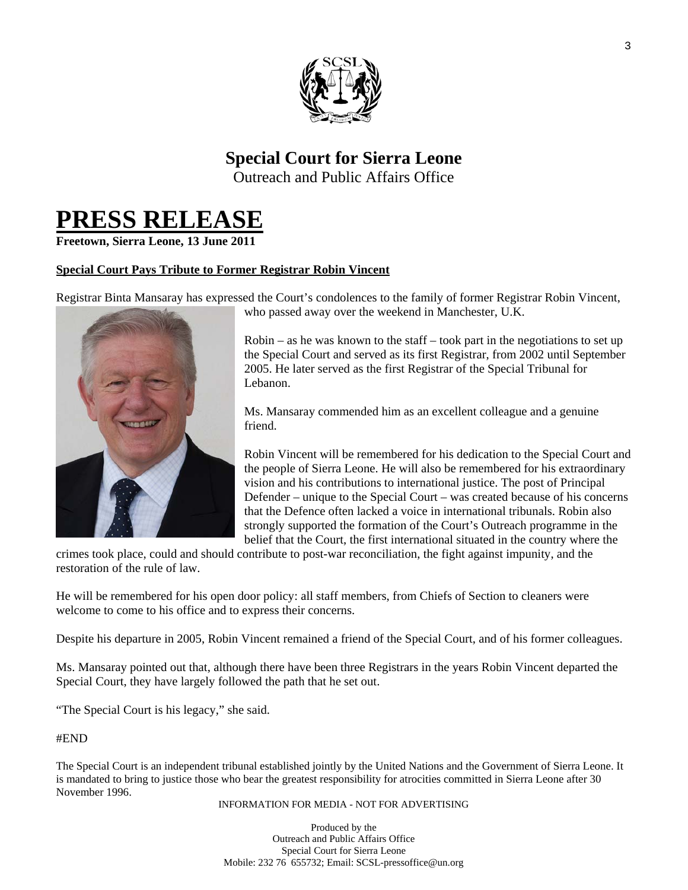

### **Special Court for Sierra Leone**

Outreach and Public Affairs Office

## **PRESS RELEASE Freetown, Sierra Leone, 13 June 2011**

### **Special Court Pays Tribute to Former Registrar Robin Vincent**

Registrar Binta Mansaray has expressed the Court's condolences to the family of former Registrar Robin Vincent,



who passed away over the weekend in Manchester, U.K.

 $Robin - as he was known to the staff - took part in the negotiations to set up$ the Special Court and served as its first Registrar, from 2002 until September 2005. He later served as the first Registrar of the Special Tribunal for Lebanon.

Ms. Mansaray commended him as an excellent colleague and a genuine friend.

Robin Vincent will be remembered for his dedication to the Special Court a nd the people of Sierra Leone. He will also be remembered for his extra ordinary vision and his contributions to international justice. The post of Principal Defender – unique to the Special Court – was created because of his concerns that the Defence often lacked a voice in international tribunals. Robin also strongly supported the formation of the Court's Outreach programme in the belief that the Court, the first international situated in the country where the

crimes took place, could and should contribute to post-war reconciliation, the fight against impunity, and the restoration of the rule of law.

He will be remembered for his open door policy: all staff members, from Chiefs of Section to cleaners were welcome to come to his office and to express their concerns.

Despite his departure in 2005, Robin Vincent remained a friend of the Special Court, and of his former colleagues.

Ms. Mansaray pointed out that, although there have been three Registrars in the years Robin Vincent departed the Special Court, they have largely followed the path that he set out.

"The Special Court is his legacy," she said.

#### #END

The Special Court is an independent tribunal established jointly by the United Nations and the Government of Sierra Leone. It is mandated to bring to justice those who bear the greatest responsibility for atrocities committed in Sierra Leone after 30 November 1996.

INFORMATION FOR MEDIA - NOT FOR ADVERTISING

Produced by the Outreach and Public Affairs Office Special Court for Sierra Leone Mobile: 232 76 655732; Email: SCSL-pressoffice@un.org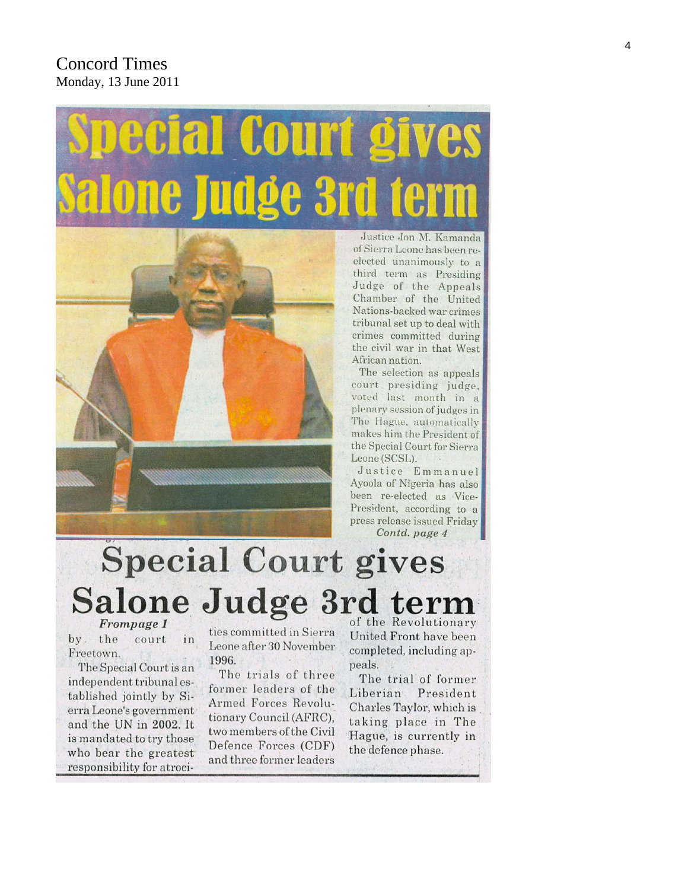### **Concord Times** Monday, 13 June 2011

# COL



Justice Jon M. Kamanda of Sierra Leone has been reelected unanimously to a third term as Presiding Judge of the Appeals Chamber of the United Nations-backed war crimes tribunal set up to deal with crimes committed during the civil war in that West African nation.

The selection as appeals court presiding judge, voted last month in a plenary session of judges in The Hague, automatically makes him the President of the Special Court for Sierra Leone (SCSL).

Justice Emmanuel Ayoola of Nigeria has also been re-elected as Vice-President, according to a press release issued Friday Contd. page 4

### **Special Court gives** Salone Judge 3rd term of the Revolutionary Frompage 1

 $by<sub>1</sub>$ the court in Freetown.

The Special Court is an independent tribunal established jointly by Sierra Leone's government and the UN in 2002. It is mandated to try those who bear the greatest responsibility for atrocities committed in Sierra Leone after 30 November 1996.

The trials of three former leaders of the Armed Forces Revolutionary Council (AFRC), two members of the Civil Defence Forces (CDF) and three former leaders

United Front have been completed, including appeals.

The trial of former Liberian President Charles Taylor, which is taking place in The Hague, is currently in the defence phase.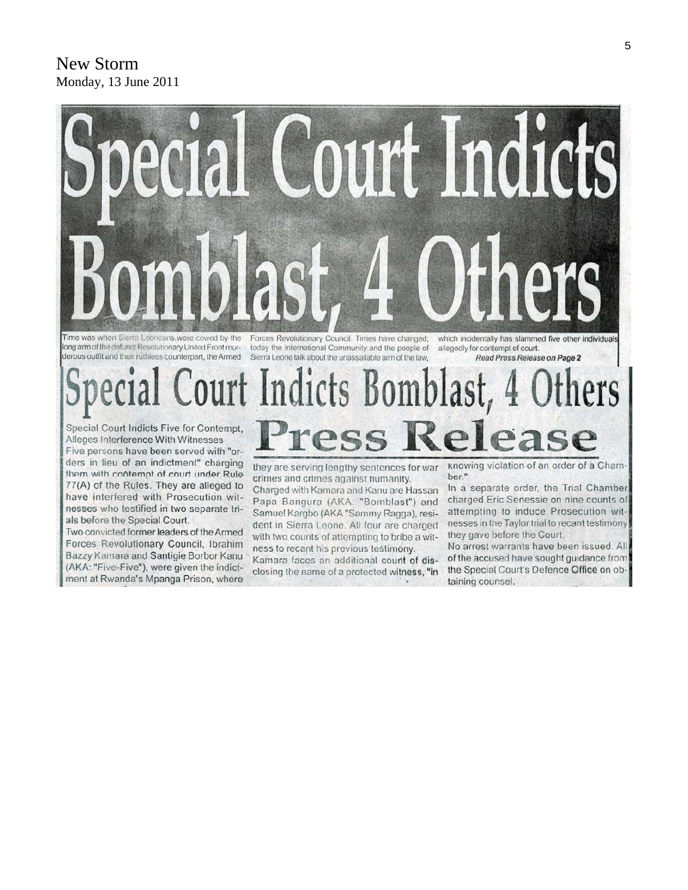### **New Storm** Monday, 13 June 2011



long arm of the defunct Revolutionary United Front murderous outfit and their ruthless counterpart, the Armed Sierra Leone talk about the unassailable arm of the law,

today the International Community and the people of

#### allegedly for contempt of court. Read Press Release on Page 2

### urt Indicts Bomblast, ess Rel Special Court Indicts Five for Contempt,

Alleges Interference With Witnesses Five persons have been served with "orders in lieu of an indictment" charging them with contempt of court under Rule 77(A) of the Rules. They are alleged to have interfered with Prosecution witnesses who testified in two separate trials before the Special Court.

Two convicted former leaders of the Armed Forces Revolutionary Council, Ibrahim Bazzy Kamara and Santigie Borbor Kanu (AKA: "Five-Five"), were given the indictment at Rwanda's Mpanga Prison, where

they are serving lengthy sentences for war crimes and crimes against humanity. Charged with Kamara and Kanu are Hassan Papa Bangura (AKA: "Bomblast") and Samuel Kargbo (AKA "Sammy Ragga), resident in Sierra Leone. All four are charged with two counts of attempting to bribe a witness to recant his previous testimony.

Kamara faces an additional count of disclosing the name of a protected witness, "in

knowing violation of an order of a Cham ber."

In a separate order, the Trial Chamber charged Eric Senessie on nine counts of attempting to induce Prosecution witnesses in the Taylor trial to recant testimony they gave before the Court.

No arrest warrants have been issued. All of the accused have sought guidance from the Special Court's Defence Office on obtaining counsel.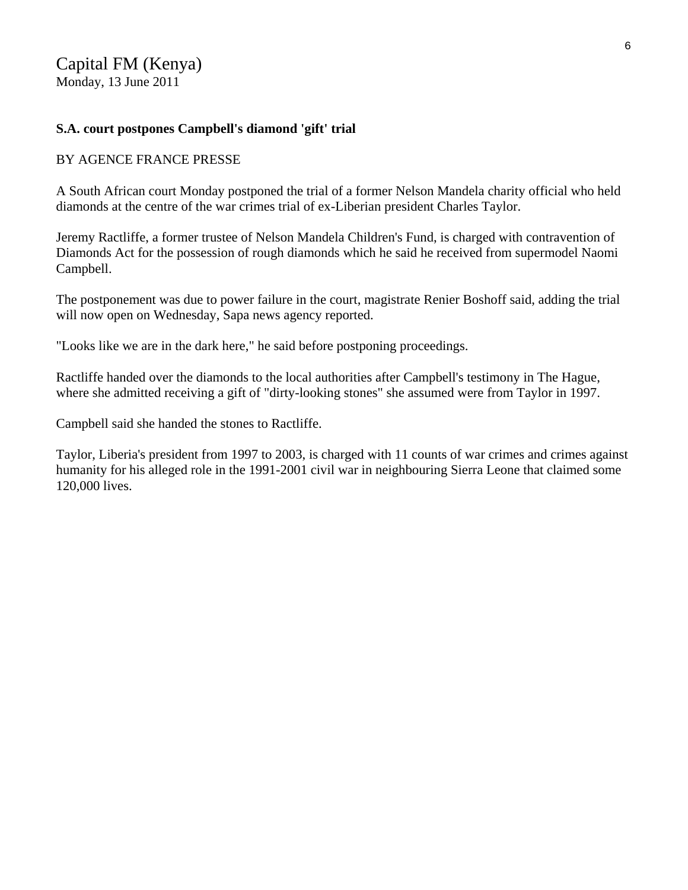### Capital FM (Kenya)

Monday, 13 June 2011

### **S.A. court postpones Campbell's diamond 'gift' trial**

### BY AGENCE FRANCE PRESSE

A South African court Monday postponed the trial of a former Nelson Mandela charity official who held diamonds at the centre of the war crimes trial of ex-Liberian president Charles Taylor.

Jeremy Ractliffe, a former trustee of Nelson Mandela Children's Fund, is charged with contravention of Diamonds Act for the possession of rough diamonds which he said he received from supermodel Naomi Campbell.

The postponement was due to power failure in the court, magistrate Renier Boshoff said, adding the trial will now open on Wednesday, Sapa news agency reported.

"Looks like we are in the dark here," he said before postponing proceedings.

Ractliffe handed over the diamonds to the local authorities after Campbell's testimony in The Hague, where she admitted receiving a gift of "dirty-looking stones" she assumed were from Taylor in 1997.

Campbell said she handed the stones to Ractliffe.

Taylor, Liberia's president from 1997 to 2003, is charged with 11 counts of war crimes and crimes against humanity for his alleged role in the 1991-2001 civil war in neighbouring Sierra Leone that claimed some 120,000 lives.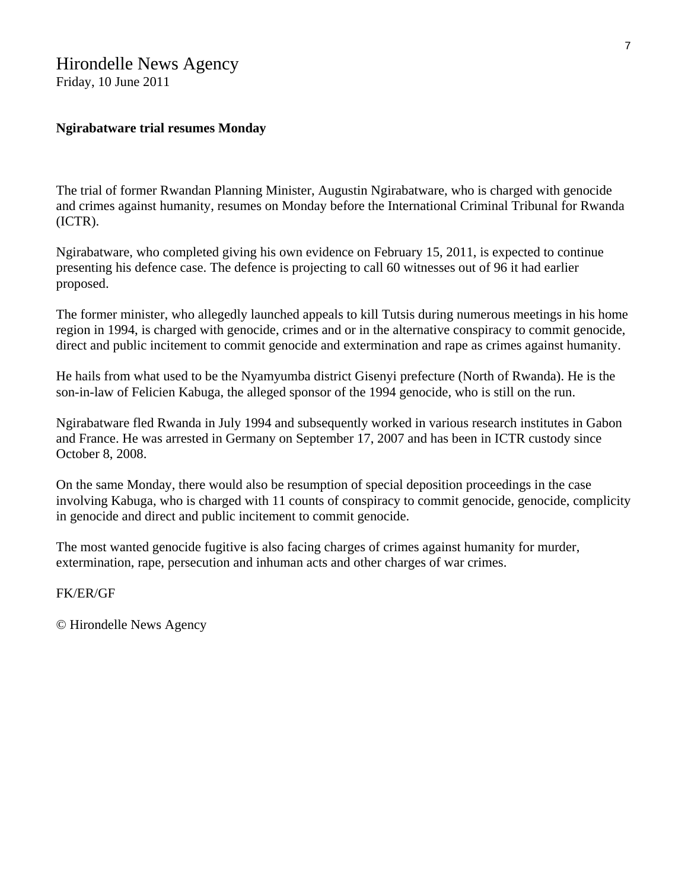### Hirondelle News Agency

Friday, 10 June 2011

### **Ngirabatware trial resumes Monday**

The trial of former Rwandan Planning Minister, Augustin Ngirabatware, who is charged with genocide and crimes against humanity, resumes on Monday before the International Criminal Tribunal for Rwanda (ICTR).

Ngirabatware, who completed giving his own evidence on February 15, 2011, is expected to continue presenting his defence case. The defence is projecting to call 60 witnesses out of 96 it had earlier proposed.

The former minister, who allegedly launched appeals to kill Tutsis during numerous meetings in his home region in 1994, is charged with genocide, crimes and or in the alternative conspiracy to commit genocide, direct and public incitement to commit genocide and extermination and rape as crimes against humanity.

He hails from what used to be the Nyamyumba district Gisenyi prefecture (North of Rwanda). He is the son-in-law of Felicien Kabuga, the alleged sponsor of the 1994 genocide, who is still on the run.

Ngirabatware fled Rwanda in July 1994 and subsequently worked in various research institutes in Gabon and France. He was arrested in Germany on September 17, 2007 and has been in ICTR custody since October 8, 2008.

On the same Monday, there would also be resumption of special deposition proceedings in the case involving Kabuga, who is charged with 11 counts of conspiracy to commit genocide, genocide, complicity in genocide and direct and public incitement to commit genocide.

The most wanted genocide fugitive is also facing charges of crimes against humanity for murder, extermination, rape, persecution and inhuman acts and other charges of war crimes.

FK/ER/GF

© Hirondelle News Agency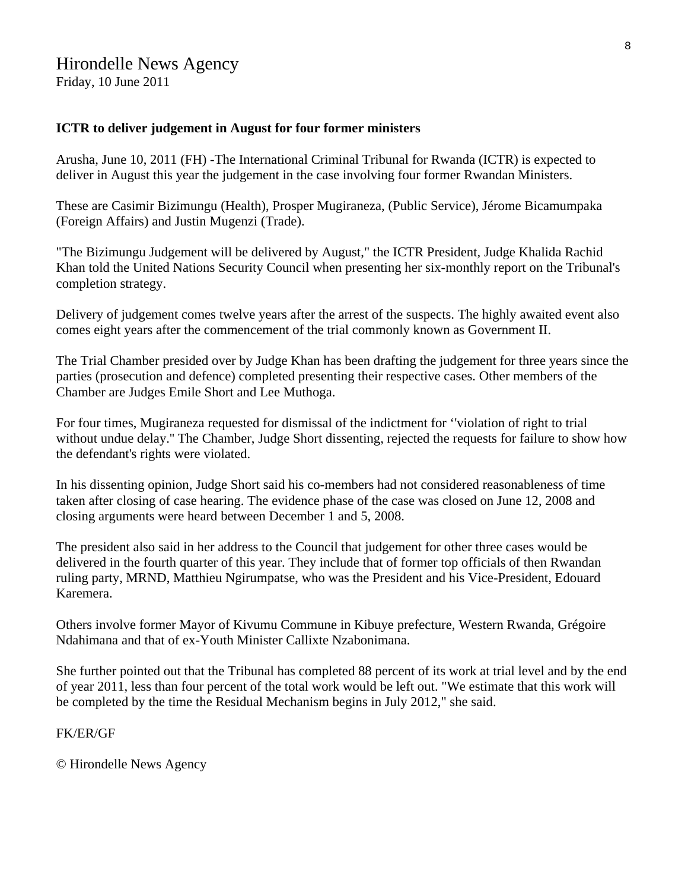### Hirondelle News Agency Friday, 10 June 2011

### **ICTR to deliver judgement in August for four former ministers**

Arusha, June 10, 2011 (FH) -The International Criminal Tribunal for Rwanda (ICTR) is expected to deliver in August this year the judgement in the case involving four former Rwandan Ministers.

These are Casimir Bizimungu (Health), Prosper Mugiraneza, (Public Service), Jérome Bicamumpaka (Foreign Affairs) and Justin Mugenzi (Trade).

"The Bizimungu Judgement will be delivered by August," the ICTR President, Judge Khalida Rachid Khan told the United Nations Security Council when presenting her six-monthly report on the Tribunal's completion strategy.

Delivery of judgement comes twelve years after the arrest of the suspects. The highly awaited event also comes eight years after the commencement of the trial commonly known as Government II.

The Trial Chamber presided over by Judge Khan has been drafting the judgement for three years since the parties (prosecution and defence) completed presenting their respective cases. Other members of the Chamber are Judges Emile Short and Lee Muthoga.

For four times, Mugiraneza requested for dismissal of the indictment for ''violation of right to trial without undue delay.'' The Chamber, Judge Short dissenting, rejected the requests for failure to show how the defendant's rights were violated.

In his dissenting opinion, Judge Short said his co-members had not considered reasonableness of time taken after closing of case hearing. The evidence phase of the case was closed on June 12, 2008 and closing arguments were heard between December 1 and 5, 2008.

The president also said in her address to the Council that judgement for other three cases would be delivered in the fourth quarter of this year. They include that of former top officials of then Rwandan ruling party, MRND, Matthieu Ngirumpatse, who was the President and his Vice-President, Edouard Karemera.

Others involve former Mayor of Kivumu Commune in Kibuye prefecture, Western Rwanda, Grégoire Ndahimana and that of ex-Youth Minister Callixte Nzabonimana.

She further pointed out that the Tribunal has completed 88 percent of its work at trial level and by the end of year 2011, less than four percent of the total work would be left out. "We estimate that this work will be completed by the time the Residual Mechanism begins in July 2012," she said.

FK/ER/GF

© Hirondelle News Agency